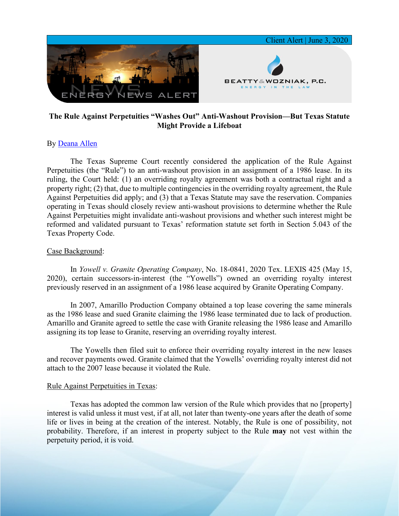

# **The Rule Against Perpetuities "Washes Out" Anti-Washout Provision—But Texas Statute Might Provide a Lifeboat**

## By [Deana Allen](https://www.bwenergylaw.com/deana-allen)

The Texas Supreme Court recently considered the application of the Rule Against Perpetuities (the "Rule") to an anti-washout provision in an assignment of a 1986 lease. In its ruling, the Court held: (1) an overriding royalty agreement was both a contractual right and a property right; (2) that, due to multiple contingencies in the overriding royalty agreement, the Rule Against Perpetuities did apply; and (3) that a Texas Statute may save the reservation. Companies operating in Texas should closely review anti-washout provisions to determine whether the Rule Against Perpetuities might invalidate anti-washout provisions and whether such interest might be reformed and validated pursuant to Texas' reformation statute set forth in Section 5.043 of the Texas Property Code.

### Case Background:

In *Yowell v. Granite Operating Company*, No. 18-0841, 2020 Tex. LEXIS 425 (May 15, 2020), certain successors-in-interest (the "Yowells") owned an overriding royalty interest previously reserved in an assignment of a 1986 lease acquired by Granite Operating Company.

In 2007, Amarillo Production Company obtained a top lease covering the same minerals as the 1986 lease and sued Granite claiming the 1986 lease terminated due to lack of production. Amarillo and Granite agreed to settle the case with Granite releasing the 1986 lease and Amarillo assigning its top lease to Granite, reserving an overriding royalty interest.

The Yowells then filed suit to enforce their overriding royalty interest in the new leases and recover payments owed. Granite claimed that the Yowells' overriding royalty interest did not attach to the 2007 lease because it violated the Rule.

#### Rule Against Perpetuities in Texas:

Texas has adopted the common law version of the Rule which provides that no [property] interest is valid unless it must vest, if at all, not later than twenty-one years after the death of some life or lives in being at the creation of the interest. Notably, the Rule is one of possibility, not probability. Therefore, if an interest in property subject to the Rule **may** not vest within the perpetuity period, it is void.